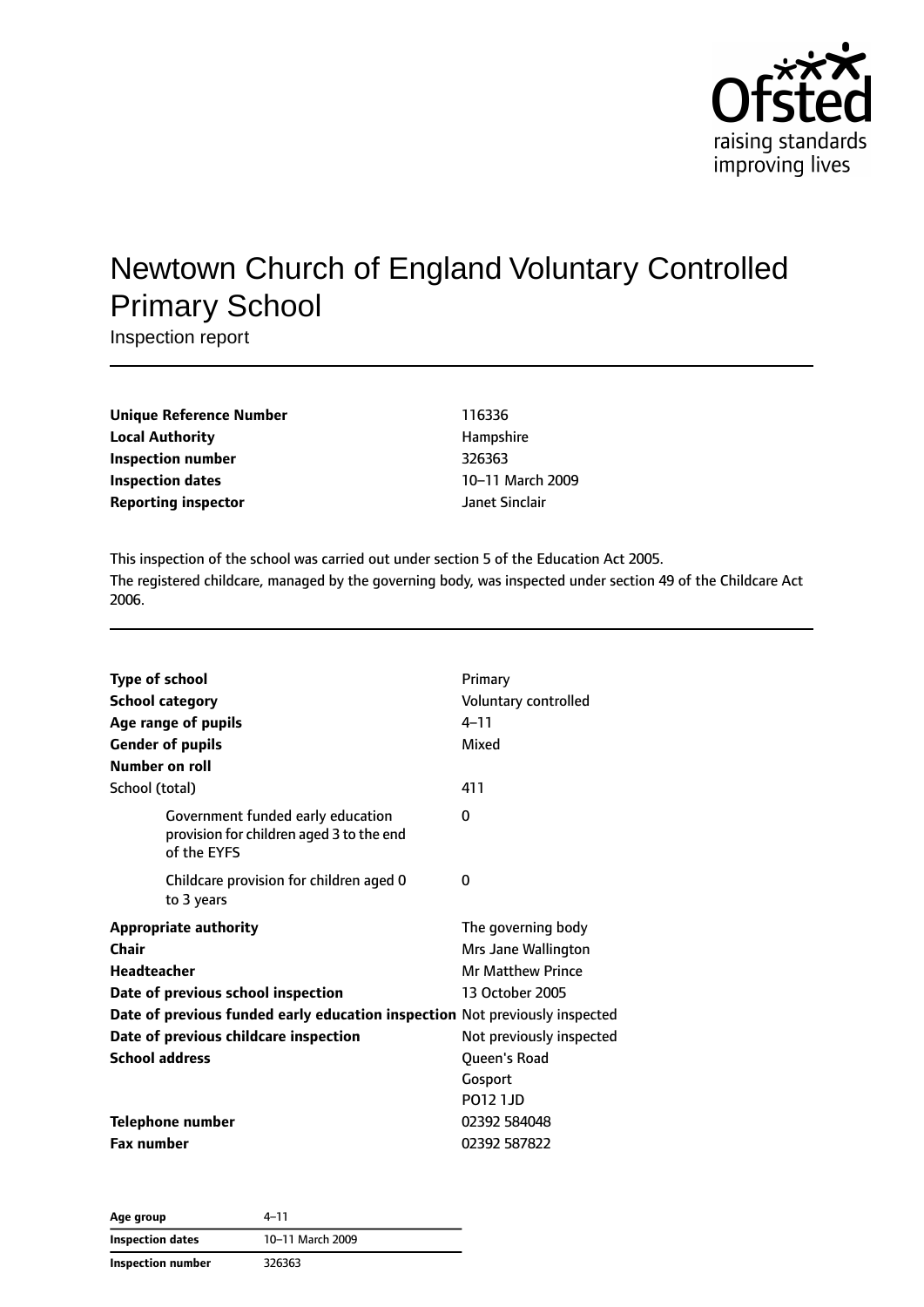

# Newtown Church of England Voluntary Controlled Primary School

Inspection report

| Unique Reference Number    | 116336           |
|----------------------------|------------------|
| Local Authority            | Hampshire        |
| Inspection number          | 326363           |
| Inspection dates           | 10-11 March 2009 |
| <b>Reporting inspector</b> | Janet Sinclair   |

This inspection of the school was carried out under section 5 of the Education Act 2005. The registered childcare, managed by the governing body, was inspected under section 49 of the Childcare Act 2006.

| <b>Type of school</b><br><b>School category</b><br>Age range of pupils<br><b>Gender of pupils</b><br>Number on roll                                                                                                                         | Primary<br>Voluntary controlled<br>$4 - 11$<br>Mixed                                                                                                 |
|---------------------------------------------------------------------------------------------------------------------------------------------------------------------------------------------------------------------------------------------|------------------------------------------------------------------------------------------------------------------------------------------------------|
| School (total)<br>Government funded early education<br>provision for children aged 3 to the end<br>of the EYFS                                                                                                                              | 411<br>0                                                                                                                                             |
| Childcare provision for children aged 0<br>to 3 years                                                                                                                                                                                       | O                                                                                                                                                    |
| <b>Appropriate authority</b><br>Chair<br>Headteacher<br>Date of previous school inspection<br>Date of previous funded early education inspection Not previously inspected<br>Date of previous childcare inspection<br><b>School address</b> | The governing body<br>Mrs Jane Wallington<br>Mr Matthew Prince<br>13 October 2005<br>Not previously inspected<br>Queen's Road<br>Gosport<br>PO12 1JD |
| <b>Telephone number</b><br><b>Fax number</b>                                                                                                                                                                                                | 02392 584048<br>02392 587822                                                                                                                         |

**Age group** 4–11 **Inspection dates** 10–11 March 2009 **Inspection number** 326363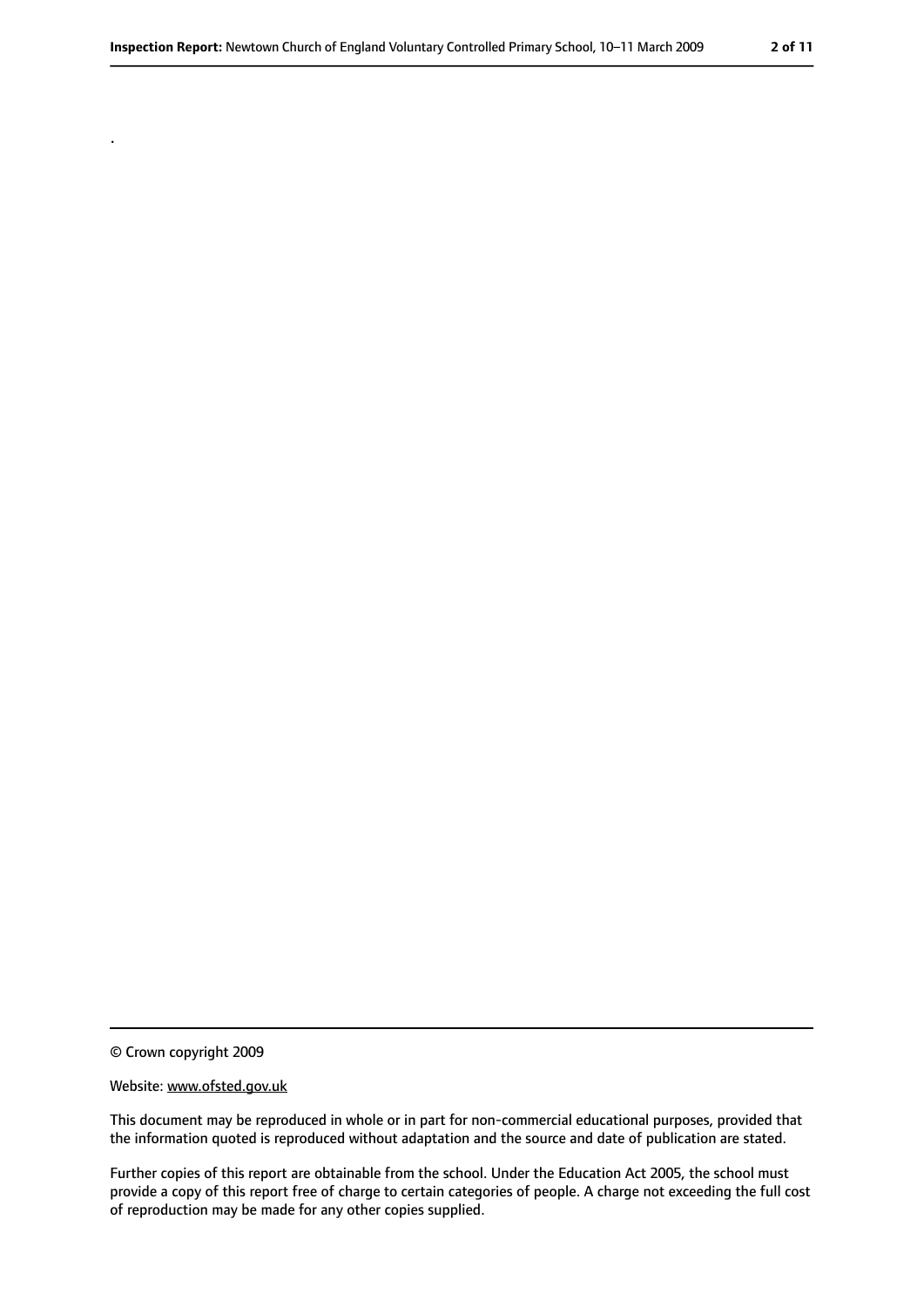© Crown copyright 2009

.

#### Website: www.ofsted.gov.uk

This document may be reproduced in whole or in part for non-commercial educational purposes, provided that the information quoted is reproduced without adaptation and the source and date of publication are stated.

Further copies of this report are obtainable from the school. Under the Education Act 2005, the school must provide a copy of this report free of charge to certain categories of people. A charge not exceeding the full cost of reproduction may be made for any other copies supplied.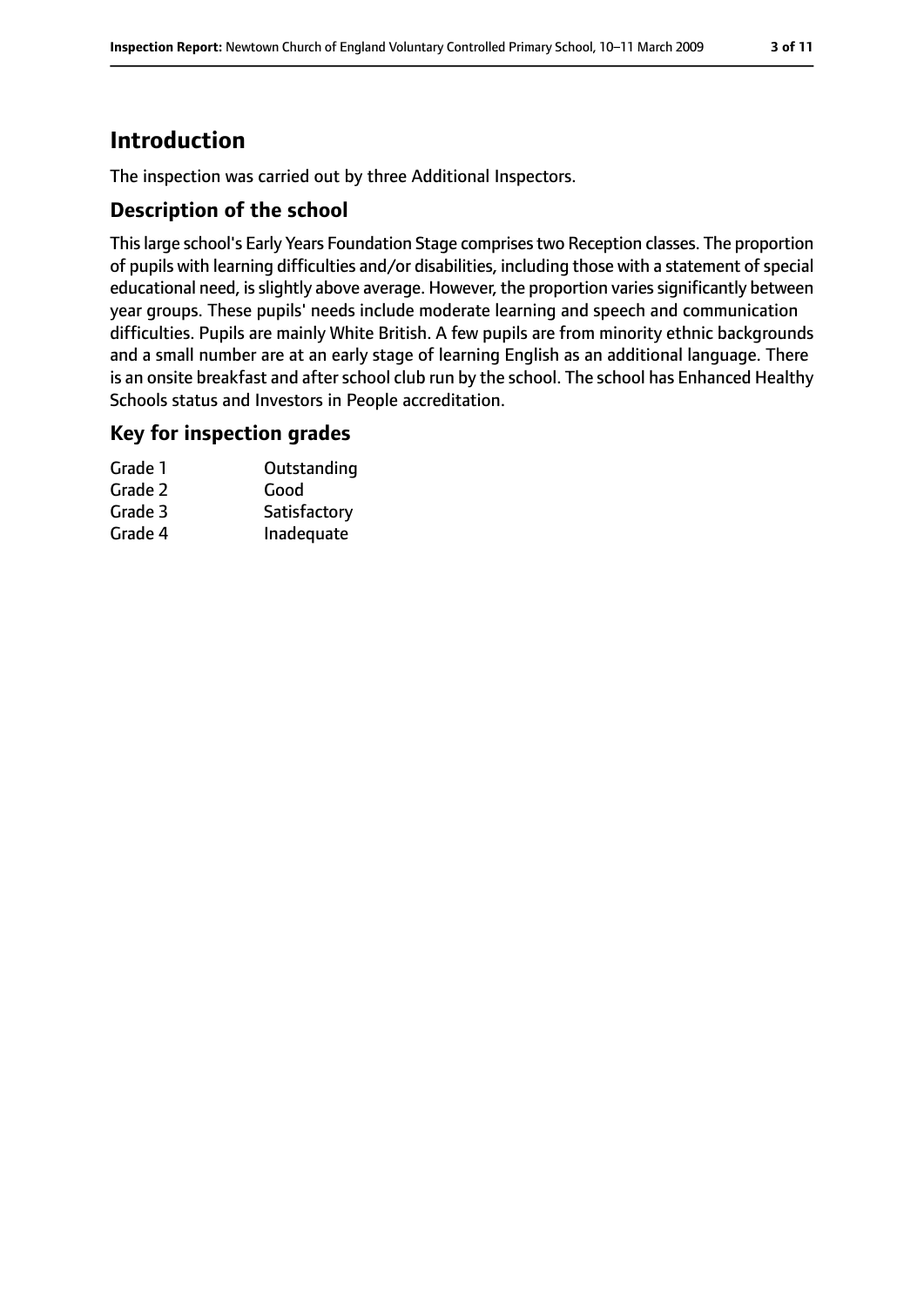# **Introduction**

The inspection was carried out by three Additional Inspectors.

### **Description of the school**

Thislarge school's Early Years Foundation Stage comprisestwo Reception classes. The proportion of pupils with learning difficulties and/or disabilities, including those with a statement of special educational need, is slightly above average. However, the proportion varies significantly between year groups. These pupils' needs include moderate learning and speech and communication difficulties. Pupils are mainly White British. A few pupils are from minority ethnic backgrounds and a small number are at an early stage of learning English as an additional language. There is an onsite breakfast and after school club run by the school. The school has Enhanced Healthy Schools status and Investors in People accreditation.

### **Key for inspection grades**

| Grade 1 | Outstanding  |
|---------|--------------|
| Grade 2 | Good         |
| Grade 3 | Satisfactory |
| Grade 4 | Inadequate   |
|         |              |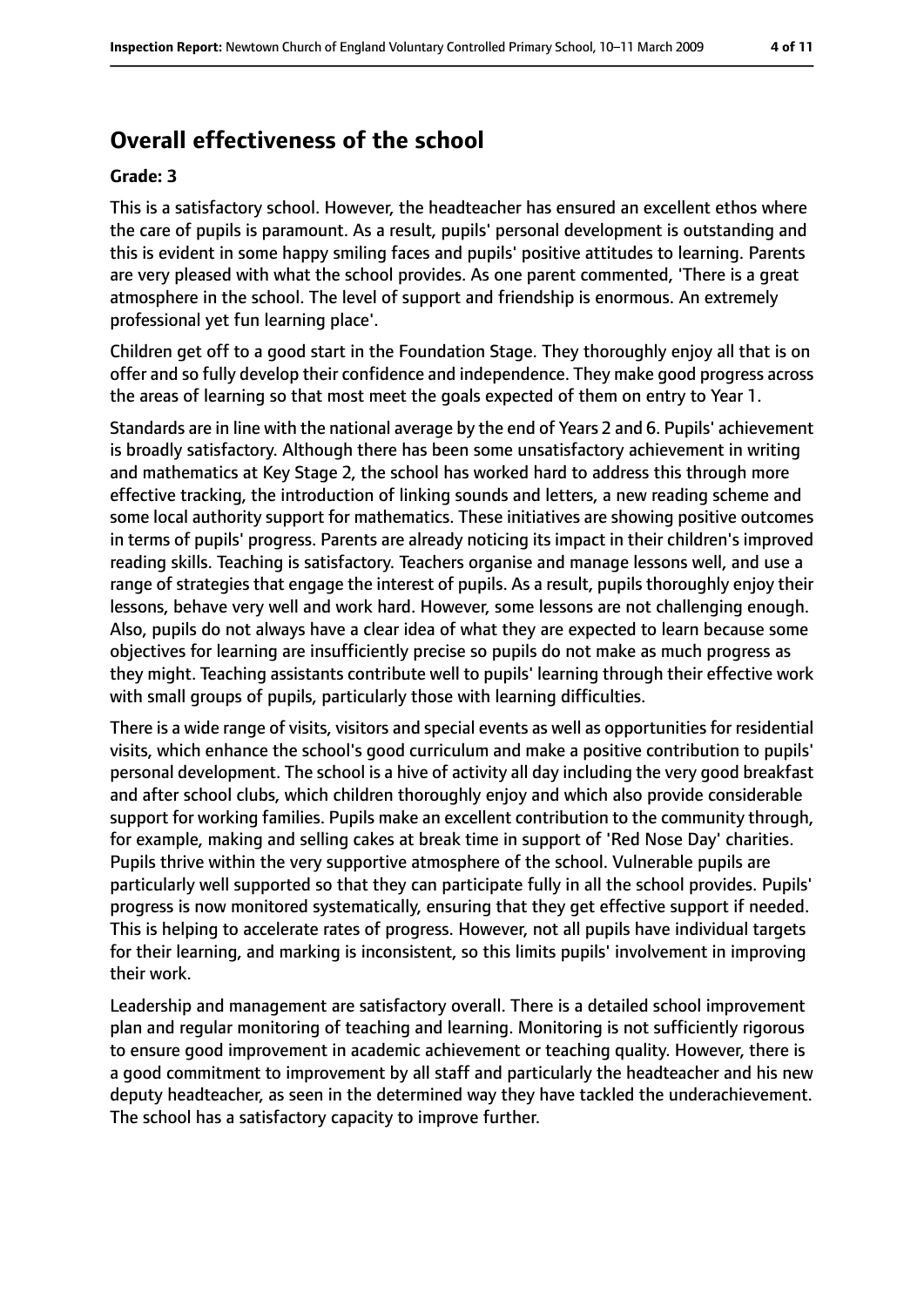# **Overall effectiveness of the school**

#### **Grade: 3**

This is a satisfactory school. However, the headteacher has ensured an excellent ethos where the care of pupils is paramount. As a result, pupils' personal development is outstanding and this is evident in some happy smiling faces and pupils' positive attitudes to learning. Parents are very pleased with what the school provides. As one parent commented, 'There is a great atmosphere in the school. The level of support and friendship is enormous. An extremely professional yet fun learning place'.

Children get off to a good start in the Foundation Stage. They thoroughly enjoy all that is on offer and so fully develop their confidence and independence. They make good progress across the areas of learning so that most meet the goals expected of them on entry to Year 1.

Standards are in line with the national average by the end of Years 2 and 6. Pupils' achievement is broadly satisfactory. Although there has been some unsatisfactory achievement in writing and mathematics at Key Stage 2, the school has worked hard to address this through more effective tracking, the introduction of linking sounds and letters, a new reading scheme and some local authority support for mathematics. These initiatives are showing positive outcomes in terms of pupils' progress. Parents are already noticing its impact in their children's improved reading skills. Teaching is satisfactory. Teachers organise and manage lessons well, and use a range of strategies that engage the interest of pupils. As a result, pupils thoroughly enjoy their lessons, behave very well and work hard. However, some lessons are not challenging enough. Also, pupils do not always have a clear idea of what they are expected to learn because some objectives for learning are insufficiently precise so pupils do not make as much progress as they might. Teaching assistants contribute well to pupils' learning through their effective work with small groups of pupils, particularly those with learning difficulties.

There is a wide range of visits, visitors and special events as well as opportunities for residential visits, which enhance the school's good curriculum and make a positive contribution to pupils' personal development. The school is a hive of activity all day including the very good breakfast and after school clubs, which children thoroughly enjoy and which also provide considerable support for working families. Pupils make an excellent contribution to the community through, for example, making and selling cakes at break time in support of 'Red Nose Day' charities. Pupils thrive within the very supportive atmosphere of the school. Vulnerable pupils are particularly well supported so that they can participate fully in all the school provides. Pupils' progress is now monitored systematically, ensuring that they get effective support if needed. This is helping to accelerate rates of progress. However, not all pupils have individual targets for their learning, and marking is inconsistent, so this limits pupils' involvement in improving their work.

Leadership and management are satisfactory overall. There is a detailed school improvement plan and regular monitoring of teaching and learning. Monitoring is not sufficiently rigorous to ensure good improvement in academic achievement or teaching quality. However, there is a good commitment to improvement by all staff and particularly the headteacher and his new deputy headteacher, as seen in the determined way they have tackled the underachievement. The school has a satisfactory capacity to improve further.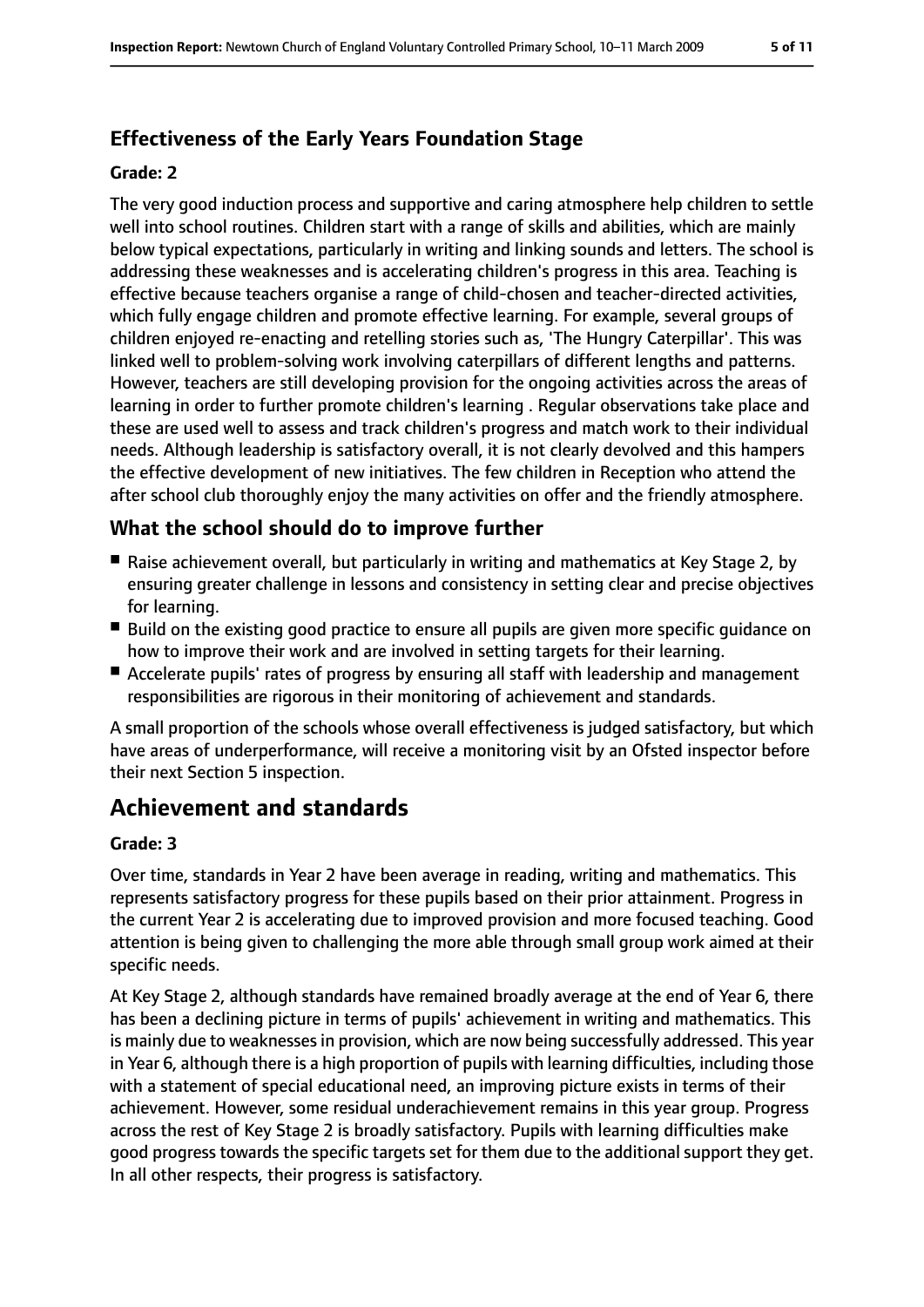## **Effectiveness of the Early Years Foundation Stage**

#### **Grade: 2**

The very good induction process and supportive and caring atmosphere help children to settle well into school routines. Children start with a range of skills and abilities, which are mainly below typical expectations, particularly in writing and linking sounds and letters. The school is addressing these weaknesses and is accelerating children's progress in this area. Teaching is effective because teachers organise a range of child-chosen and teacher-directed activities, which fully engage children and promote effective learning. For example, several groups of children enjoyed re-enacting and retelling stories such as, 'The Hungry Caterpillar'. This was linked well to problem-solving work involving caterpillars of different lengths and patterns. However, teachers are still developing provision for the ongoing activities across the areas of learning in order to further promote children's learning . Regular observations take place and these are used well to assess and track children's progress and match work to their individual needs. Although leadership is satisfactory overall, it is not clearly devolved and this hampers the effective development of new initiatives. The few children in Reception who attend the after school club thoroughly enjoy the many activities on offer and the friendly atmosphere.

### **What the school should do to improve further**

- Raise achievement overall, but particularly in writing and mathematics at Key Stage 2, by ensuring greater challenge in lessons and consistency in setting clear and precise objectives for learning.
- Build on the existing good practice to ensure all pupils are given more specific quidance on how to improve their work and are involved in setting targets for their learning.
- Accelerate pupils' rates of progress by ensuring all staff with leadership and management responsibilities are rigorous in their monitoring of achievement and standards.

A small proportion of the schools whose overall effectiveness is judged satisfactory, but which have areas of underperformance, will receive a monitoring visit by an Ofsted inspector before their next Section 5 inspection.

# **Achievement and standards**

#### **Grade: 3**

Over time, standards in Year 2 have been average in reading, writing and mathematics. This represents satisfactory progress for these pupils based on their prior attainment. Progress in the current Year 2 is accelerating due to improved provision and more focused teaching. Good attention is being given to challenging the more able through small group work aimed at their specific needs.

At Key Stage 2, although standards have remained broadly average at the end of Year 6, there has been a declining picture in terms of pupils' achievement in writing and mathematics. This is mainly due to weaknesses in provision, which are now being successfully addressed. This year in Year 6, although there is a high proportion of pupils with learning difficulties, including those with a statement of special educational need, an improving picture exists in terms of their achievement. However, some residual underachievement remains in this year group. Progress across the rest of Key Stage 2 is broadly satisfactory. Pupils with learning difficulties make good progress towards the specific targets set for them due to the additional support they get. In all other respects, their progress is satisfactory.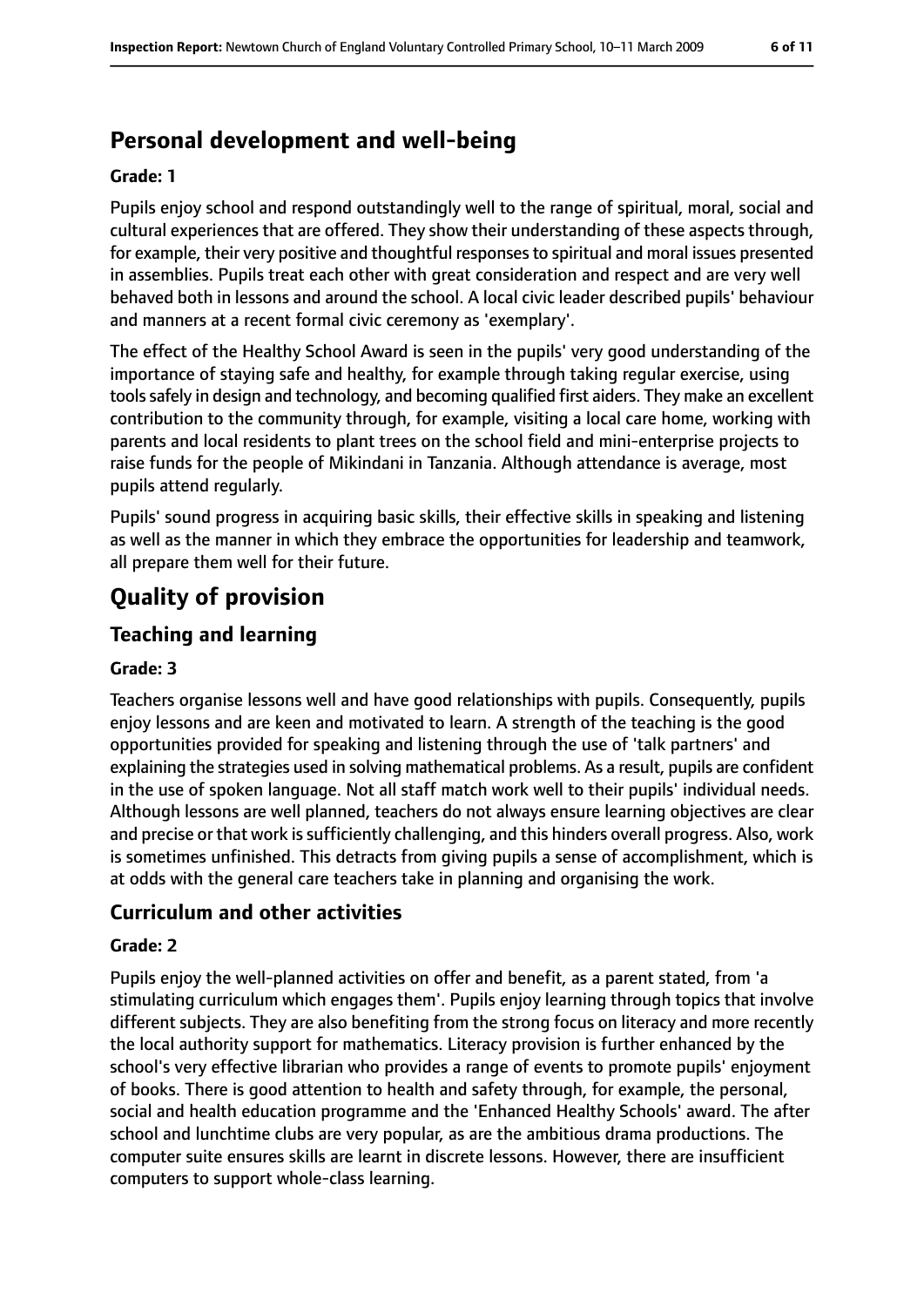# **Personal development and well-being**

#### **Grade: 1**

Pupils enjoy school and respond outstandingly well to the range of spiritual, moral, social and cultural experiences that are offered. They show their understanding of these aspects through, for example, their very positive and thoughtful responsesto spiritual and moral issues presented in assemblies. Pupils treat each other with great consideration and respect and are very well behaved both in lessons and around the school. A local civic leader described pupils' behaviour and manners at a recent formal civic ceremony as 'exemplary'.

The effect of the Healthy School Award is seen in the pupils' very good understanding of the importance of staying safe and healthy, for example through taking regular exercise, using toolssafely in design and technology, and becoming qualified first aiders. They make an excellent contribution to the community through, for example, visiting a local care home, working with parents and local residents to plant trees on the school field and mini-enterprise projects to raise funds for the people of Mikindani in Tanzania. Although attendance is average, most pupils attend regularly.

Pupils' sound progress in acquiring basic skills, their effective skills in speaking and listening as well as the manner in which they embrace the opportunities for leadership and teamwork, all prepare them well for their future.

# **Quality of provision**

### **Teaching and learning**

#### **Grade: 3**

Teachers organise lessons well and have good relationships with pupils. Consequently, pupils enjoy lessons and are keen and motivated to learn. A strength of the teaching is the good opportunities provided for speaking and listening through the use of 'talk partners' and explaining the strategies used in solving mathematical problems. As a result, pupils are confident in the use of spoken language. Not all staff match work well to their pupils' individual needs. Although lessons are well planned, teachers do not always ensure learning objectives are clear and precise or that work is sufficiently challenging, and this hinders overall progress. Also, work is sometimes unfinished. This detracts from giving pupils a sense of accomplishment, which is at odds with the general care teachers take in planning and organising the work.

### **Curriculum and other activities**

#### **Grade: 2**

Pupils enjoy the well-planned activities on offer and benefit, as a parent stated, from 'a stimulating curriculum which engages them'. Pupils enjoy learning through topics that involve different subjects. They are also benefiting from the strong focus on literacy and more recently the local authority support for mathematics. Literacy provision is further enhanced by the school's very effective librarian who provides a range of events to promote pupils' enjoyment of books. There is good attention to health and safety through, for example, the personal, social and health education programme and the 'Enhanced Healthy Schools' award. The after school and lunchtime clubs are very popular, as are the ambitious drama productions. The computer suite ensures skills are learnt in discrete lessons. However, there are insufficient computers to support whole-class learning.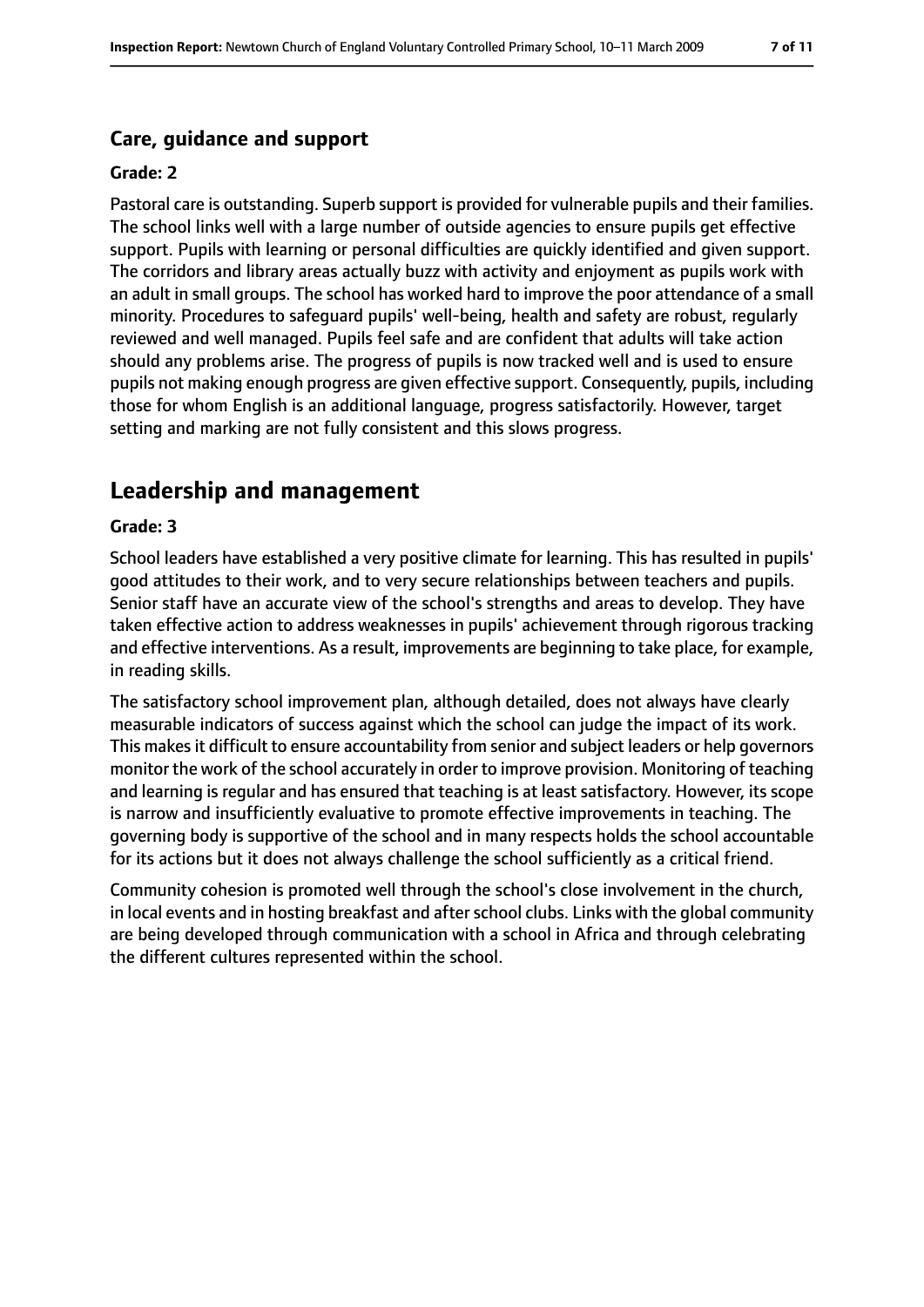### **Care, guidance and support**

#### **Grade: 2**

Pastoral care is outstanding. Superb support is provided for vulnerable pupils and their families. The school links well with a large number of outside agencies to ensure pupils get effective support. Pupils with learning or personal difficulties are quickly identified and given support. The corridors and library areas actually buzz with activity and enjoyment as pupils work with an adult in small groups. The school has worked hard to improve the poor attendance of a small minority. Procedures to safeguard pupils' well-being, health and safety are robust, regularly reviewed and well managed. Pupils feel safe and are confident that adults will take action should any problems arise. The progress of pupils is now tracked well and is used to ensure pupils not making enough progress are given effective support. Consequently, pupils, including those for whom English is an additional language, progress satisfactorily. However, target setting and marking are not fully consistent and this slows progress.

# **Leadership and management**

#### **Grade: 3**

School leaders have established a very positive climate for learning. This has resulted in pupils' good attitudes to their work, and to very secure relationships between teachers and pupils. Senior staff have an accurate view of the school's strengths and areas to develop. They have taken effective action to address weaknesses in pupils' achievement through rigorous tracking and effective interventions. As a result, improvements are beginning to take place, for example, in reading skills.

The satisfactory school improvement plan, although detailed, does not always have clearly measurable indicators of success against which the school can judge the impact of its work. This makes it difficult to ensure accountability from senior and subject leaders or help governors monitor the work of the school accurately in order to improve provision. Monitoring of teaching and learning is regular and has ensured that teaching is at least satisfactory. However, its scope is narrow and insufficiently evaluative to promote effective improvements in teaching. The governing body is supportive of the school and in many respects holds the school accountable for its actions but it does not always challenge the school sufficiently as a critical friend.

Community cohesion is promoted well through the school's close involvement in the church, in local events and in hosting breakfast and after school clubs. Links with the global community are being developed through communication with a school in Africa and through celebrating the different cultures represented within the school.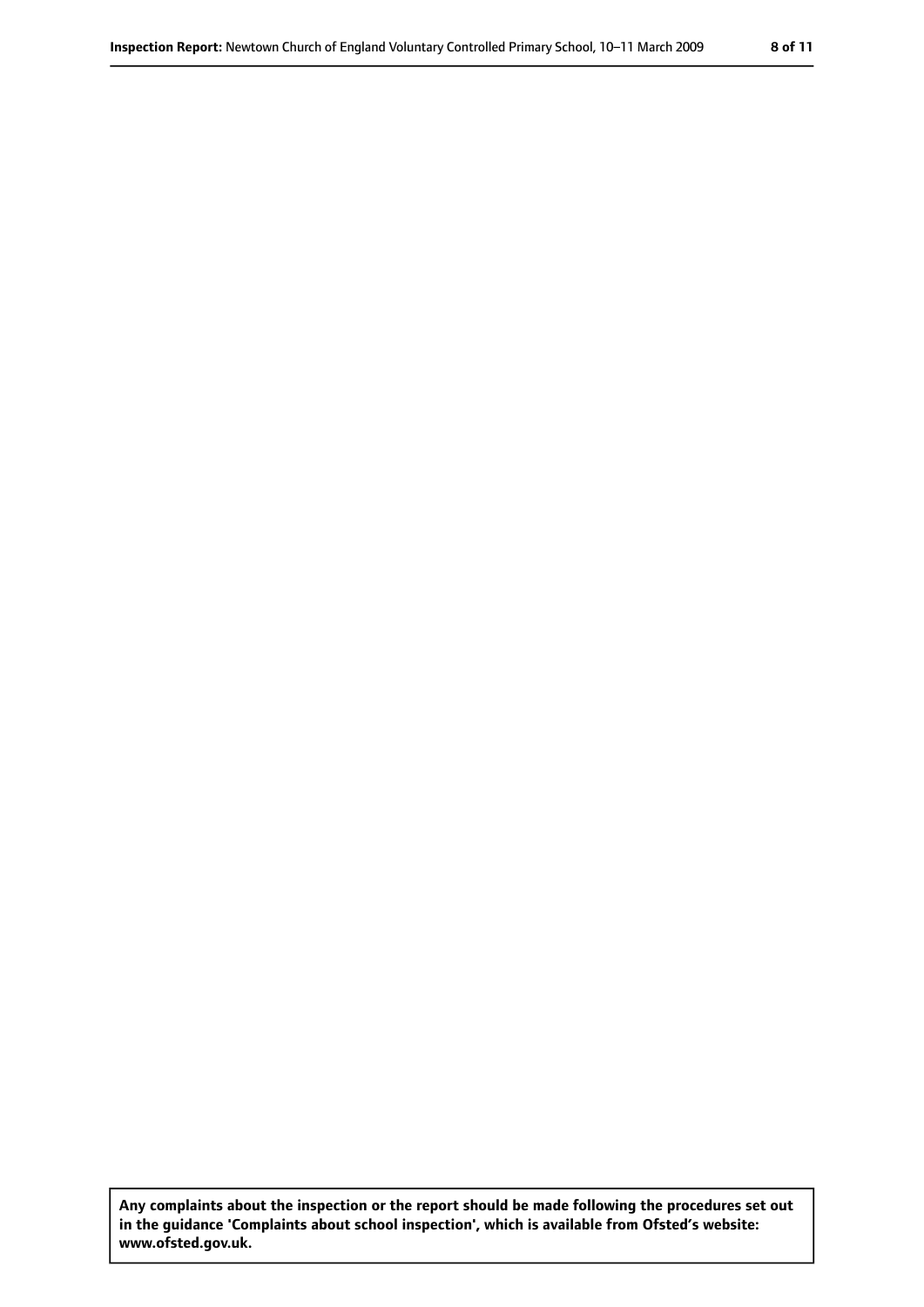**Any complaints about the inspection or the report should be made following the procedures set out in the guidance 'Complaints about school inspection', which is available from Ofsted's website: www.ofsted.gov.uk.**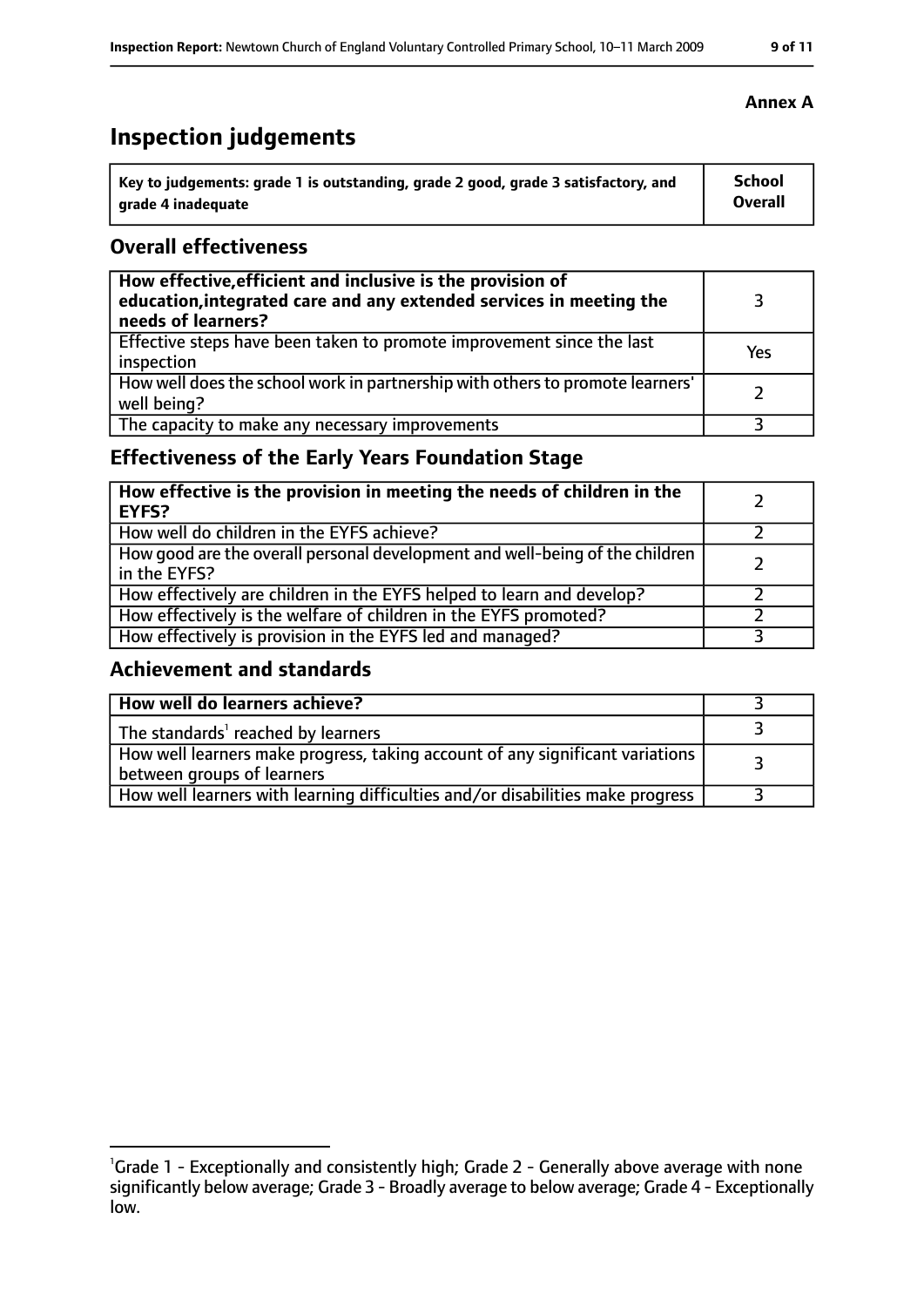# **Inspection judgements**

| Key to judgements: grade 1 is outstanding, grade 2 good, grade 3 satisfactory, and | <b>School</b>  |
|------------------------------------------------------------------------------------|----------------|
| arade 4 inadequate                                                                 | <b>Overall</b> |

### **Overall effectiveness**

| How effective, efficient and inclusive is the provision of<br>education, integrated care and any extended services in meeting the<br>needs of learners? |     |
|---------------------------------------------------------------------------------------------------------------------------------------------------------|-----|
| Effective steps have been taken to promote improvement since the last<br>inspection                                                                     | Yes |
| How well does the school work in partnership with others to promote learners'<br>well being?                                                            |     |
| The capacity to make any necessary improvements                                                                                                         |     |

## **Effectiveness of the Early Years Foundation Stage**

| How effective is the provision in meeting the needs of children in the<br><b>EYFS?</b>       |  |
|----------------------------------------------------------------------------------------------|--|
| How well do children in the EYFS achieve?                                                    |  |
| How good are the overall personal development and well-being of the children<br>in the EYFS? |  |
| How effectively are children in the EYFS helped to learn and develop?                        |  |
| How effectively is the welfare of children in the EYFS promoted?                             |  |
| How effectively is provision in the EYFS led and managed?                                    |  |

### **Achievement and standards**

| How well do learners achieve?                                                                               |  |
|-------------------------------------------------------------------------------------------------------------|--|
| The standards <sup>1</sup> reached by learners                                                              |  |
| How well learners make progress, taking account of any significant variations<br>between groups of learners |  |
| How well learners with learning difficulties and/or disabilities make progress                              |  |

### **Annex A**

<sup>&</sup>lt;sup>1</sup>Grade 1 - Exceptionally and consistently high; Grade 2 - Generally above average with none

significantly below average; Grade 3 - Broadly average to below average; Grade 4 - Exceptionally low.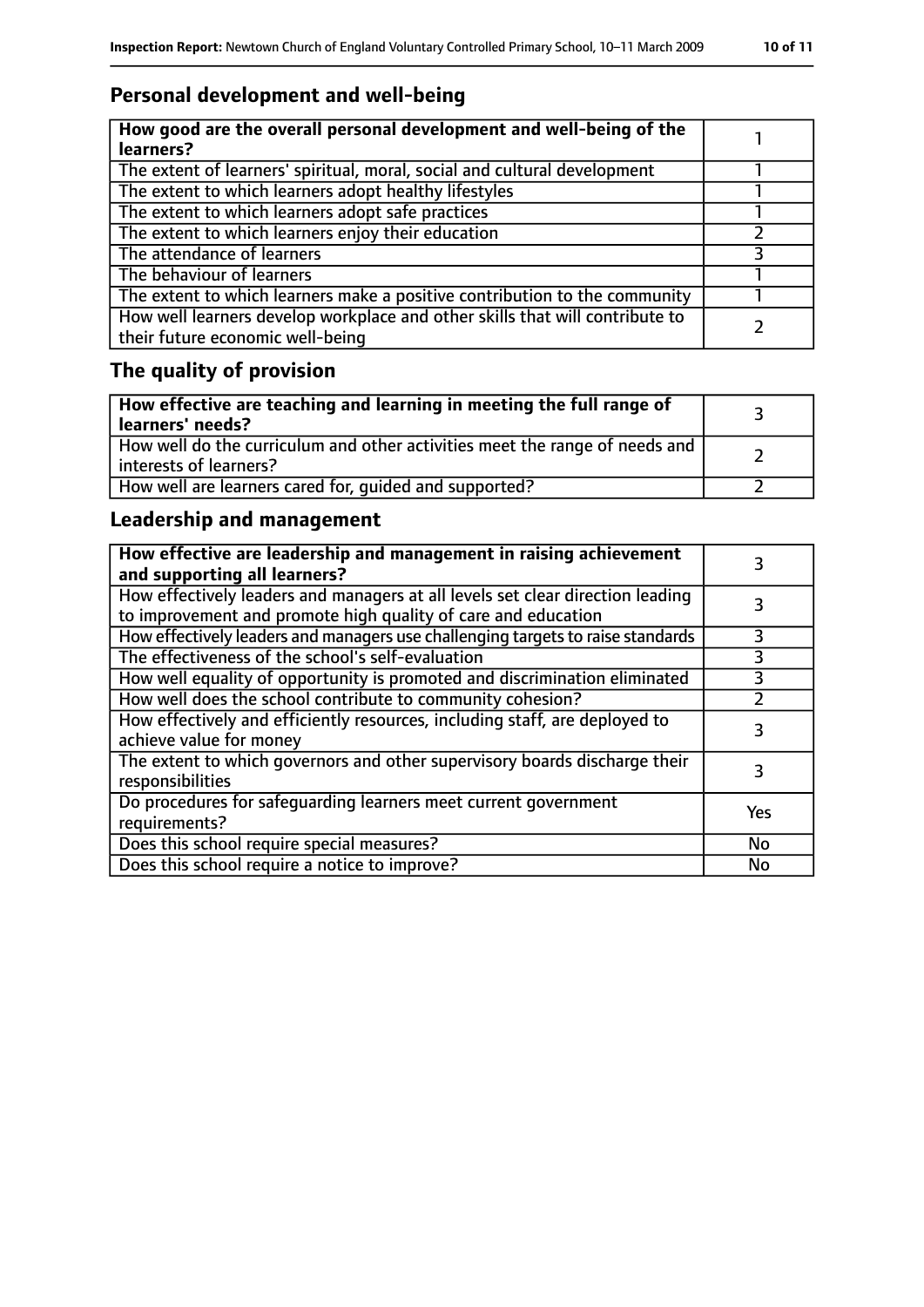# **Personal development and well-being**

| How good are the overall personal development and well-being of the<br>learners?                                 |  |
|------------------------------------------------------------------------------------------------------------------|--|
| The extent of learners' spiritual, moral, social and cultural development                                        |  |
| The extent to which learners adopt healthy lifestyles                                                            |  |
| The extent to which learners adopt safe practices                                                                |  |
| The extent to which learners enjoy their education                                                               |  |
| The attendance of learners                                                                                       |  |
| The behaviour of learners                                                                                        |  |
| The extent to which learners make a positive contribution to the community                                       |  |
| How well learners develop workplace and other skills that will contribute to<br>their future economic well-being |  |

# **The quality of provision**

| $\mid$ How effective are teaching and learning in meeting the full range of<br>  learners' needs?       |  |
|---------------------------------------------------------------------------------------------------------|--|
| How well do the curriculum and other activities meet the range of needs and<br>  interests of learners? |  |
| How well are learners cared for, quided and supported?                                                  |  |

# **Leadership and management**

| How effective are leadership and management in raising achievement<br>and supporting all learners?                                              |     |
|-------------------------------------------------------------------------------------------------------------------------------------------------|-----|
| How effectively leaders and managers at all levels set clear direction leading<br>to improvement and promote high quality of care and education |     |
| How effectively leaders and managers use challenging targets to raise standards                                                                 |     |
| The effectiveness of the school's self-evaluation                                                                                               | 3   |
| How well equality of opportunity is promoted and discrimination eliminated                                                                      | 3   |
| How well does the school contribute to community cohesion?                                                                                      |     |
| How effectively and efficiently resources, including staff, are deployed to<br>achieve value for money                                          | 3   |
| The extent to which governors and other supervisory boards discharge their<br>responsibilities                                                  |     |
| Do procedures for safequarding learners meet current government<br>requirements?                                                                | Yes |
| Does this school require special measures?                                                                                                      | No  |
| Does this school require a notice to improve?                                                                                                   | No  |